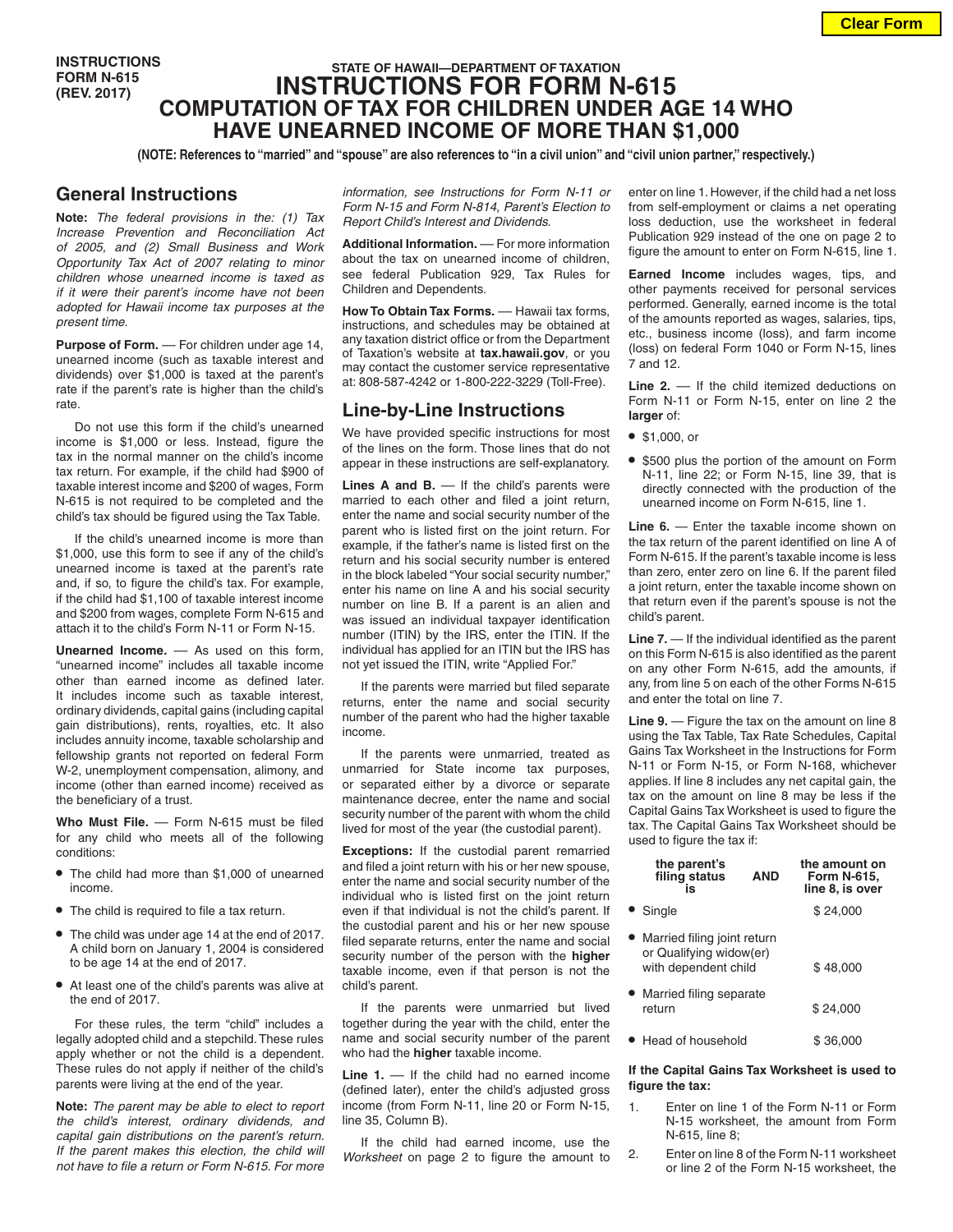**INSTRUCTIONS FORM N-615 (REV. 2017)**

# **STATE OF HAWAII—DEPARTMENT OF TAXATION INSTRUCTIONS FOR FORM N-615 COMPUTATION OF TAX FOR CHILDREN UNDER AGE 14 WHO HAVE UNEARNED INCOME OF MORE THAN \$1,000**

**(NOTE: References to "married" and "spouse" are also references to "in a civil union" and "civil union partner," respectively.)**

### **General Instructions**

**Note:** *The federal provisions in the: (1) Tax Increase Prevention and Reconciliation Act of 2005, and (2) Small Business and Work Opportunity Tax Act of 2007 relating to minor children whose unearned income is taxed as if it were their parent's income have not been adopted for Hawaii income tax purposes at the present time.*

Purpose of Form. - For children under age 14, unearned income (such as taxable interest and dividends) over \$1,000 is taxed at the parent's rate if the parent's rate is higher than the child's rate.

Do not use this form if the child's unearned income is \$1,000 or less. Instead, figure the tax in the normal manner on the child's income tax return. For example, if the child had \$900 of taxable interest income and \$200 of wages, Form N-615 is not required to be completed and the child's tax should be figured using the Tax Table.

If the child's unearned income is more than \$1,000, use this form to see if any of the child's unearned income is taxed at the parent's rate and, if so, to figure the child's tax. For example, if the child had \$1,100 of taxable interest income and \$200 from wages, complete Form N-615 and attach it to the child's Form N-11 or Form N-15.

**Unearned Income.** — As used on this form, "unearned income" includes all taxable income other than earned income as defined later. It includes income such as taxable interest, ordinary dividends, capital gains (including capital gain distributions), rents, royalties, etc. It also includes annuity income, taxable scholarship and fellowship grants not reported on federal Form W-2, unemployment compensation, alimony, and income (other than earned income) received as the beneficiary of a trust.

Who Must File. - Form N-615 must be filed for any child who meets all of the following conditions:

- **•** The child had more than \$1,000 of unearned income.
- **•** The child is required to file a tax return.
- **•** The child was under age 14 at the end of 2017. A child born on January 1, 2004 is considered to be age 14 at the end of 2017.
- **•** At least one of the child's parents was alive at the end of 2017.

For these rules, the term "child" includes a legally adopted child and a stepchild. These rules apply whether or not the child is a dependent. These rules do not apply if neither of the child's parents were living at the end of the year.

**Note:** *The parent may be able to elect to report the child's interest, ordinary dividends, and capital gain distributions on the parent's return. If the parent makes this election, the child will not have to file a return or Form N-615. For more*  *information, see Instructions for Form N-11 or Form N-15 and Form N-814, Parent's Election to Report Child's Interest and Dividends.*

**Additional Information.** –– For more information about the tax on unearned income of children, see federal Publication 929, Tax Rules for Children and Dependents.

**How To Obtain Tax Forms.** –– Hawaii tax forms, instructions, and schedules may be obtained at any taxation district office or from the Department of Taxation's website at **tax.hawaii.gov**, or you may contact the customer service representative at: 808-587-4242 or 1-800-222-3229 (Toll-Free).

## **Line-by-Line Instructions**

We have provided specific instructions for most of the lines on the form. Those lines that do not appear in these instructions are self-explanatory.

Lines A and B. — If the child's parents were married to each other and filed a joint return, enter the name and social security number of the parent who is listed first on the joint return. For example, if the father's name is listed first on the return and his social security number is entered in the block labeled "Your social security number," enter his name on line A and his social security number on line B. If a parent is an alien and was issued an individual taxpayer identification number (ITIN) by the IRS, enter the ITIN. If the individual has applied for an ITIN but the IRS has not yet issued the ITIN, write "Applied For."

If the parents were married but filed separate returns, enter the name and social security number of the parent who had the higher taxable income.

If the parents were unmarried, treated as unmarried for State income tax purposes, or separated either by a divorce or separate maintenance decree, enter the name and social security number of the parent with whom the child lived for most of the year (the custodial parent).

**Exceptions:** If the custodial parent remarried and filed a joint return with his or her new spouse, enter the name and social security number of the individual who is listed first on the joint return even if that individual is not the child's parent. If the custodial parent and his or her new spouse filed separate returns, enter the name and social security number of the person with the **higher** taxable income, even if that person is not the child's parent.

If the parents were unmarried but lived together during the year with the child, enter the name and social security number of the parent who had the **higher** taxable income.

**Line 1.** –– If the child had no earned income (defined later), enter the child's adjusted gross income (from Form N-11, line 20 or Form N-15, line 35, Column B).

If the child had earned income, use the *Worksheet* on page 2 to figure the amount to enter on line 1. However, if the child had a net loss from self-employment or claims a net operating loss deduction, use the worksheet in federal Publication 929 instead of the one on page 2 to figure the amount to enter on Form N-615, line 1.

**Earned Income** includes wages, tips, and other payments received for personal services performed. Generally, earned income is the total of the amounts reported as wages, salaries, tips, etc., business income (loss), and farm income (loss) on federal Form 1040 or Form N-15, lines 7 and 12.

Line 2. - If the child itemized deductions on Form N-11 or Form N-15, enter on line 2 the **larger** of:

- **•** \$1,000, or
- **•** \$500 plus the portion of the amount on Form N-11, line 22; or Form N-15, line 39, that is directly connected with the production of the unearned income on Form N-615, line 1.

**Line 6.** — Enter the taxable income shown on the tax return of the parent identified on line A of Form N-615. If the parent's taxable income is less than zero, enter zero on line 6. If the parent filed a joint return, enter the taxable income shown on that return even if the parent's spouse is not the child's parent.

**Line 7.** — If the individual identified as the parent on this Form N-615 is also identified as the parent on any other Form N-615, add the amounts, if any, from line 5 on each of the other Forms N-615 and enter the total on line 7.

**Line 9.** — Figure the tax on the amount on line 8 using the Tax Table, Tax Rate Schedules, Capital Gains Tax Worksheet in the Instructions for Form N-11 or Form N-15, or Form N-168, whichever applies. If line 8 includes any net capital gain, the tax on the amount on line 8 may be less if the Capital Gains Tax Worksheet is used to figure the tax. The Capital Gains Tax Worksheet should be used to figure the tax if:

| the parent's<br>filing status<br>is                                              | <b>AND</b> | the amount on<br><b>Form N-615,</b><br>line 8, is over |
|----------------------------------------------------------------------------------|------------|--------------------------------------------------------|
| • Single                                                                         |            | \$24.000                                               |
| • Married filing joint return<br>or Qualifying widow(er)<br>with dependent child |            | \$48.000                                               |
| • Married filing separate<br>return                                              |            | \$24.000                                               |
| Head of household                                                                |            | \$36.000                                               |

#### **If the Capital Gains Tax Worksheet is used to figure the tax:**

- 1. Enter on line 1 of the Form N-11 or Form N-15 worksheet, the amount from Form N-615, line 8;
- 2. Enter on line 8 of the Form N-11 worksheet or line 2 of the Form N-15 worksheet, the